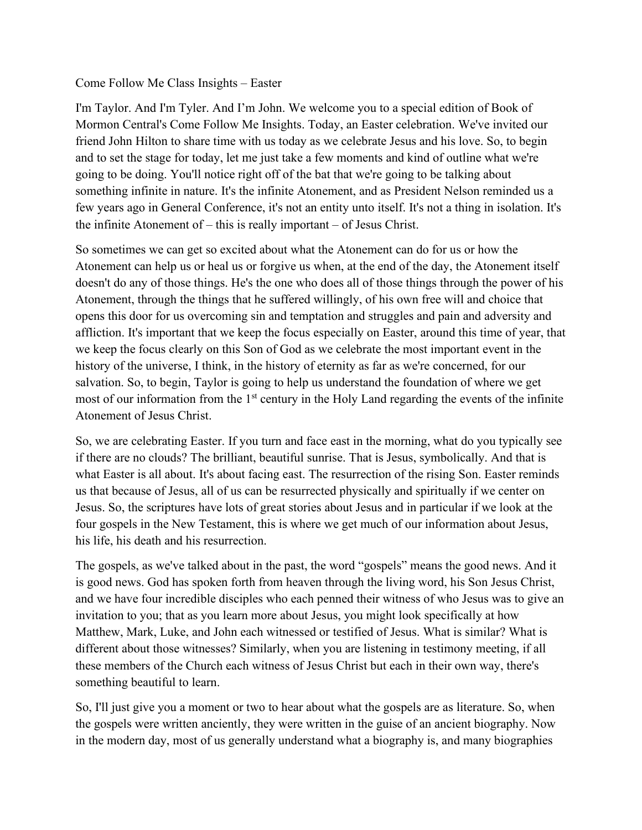## Come Follow Me Class Insights – Easter

I'm Taylor. And I'm Tyler. And I'm John. We welcome you to a special edition of Book of Mormon Central's Come Follow Me Insights. Today, an Easter celebration. We've invited our friend John Hilton to share time with us today as we celebrate Jesus and his love. So, to begin and to set the stage for today, let me just take a few moments and kind of outline what we're going to be doing. You'll notice right off of the bat that we're going to be talking about something infinite in nature. It's the infinite Atonement, and as President Nelson reminded us a few years ago in General Conference, it's not an entity unto itself. It's not a thing in isolation. It's the infinite Atonement of – this is really important – of Jesus Christ.

So sometimes we can get so excited about what the Atonement can do for us or how the Atonement can help us or heal us or forgive us when, at the end of the day, the Atonement itself doesn't do any of those things. He's the one who does all of those things through the power of his Atonement, through the things that he suffered willingly, of his own free will and choice that opens this door for us overcoming sin and temptation and struggles and pain and adversity and affliction. It's important that we keep the focus especially on Easter, around this time of year, that we keep the focus clearly on this Son of God as we celebrate the most important event in the history of the universe, I think, in the history of eternity as far as we're concerned, for our salvation. So, to begin, Taylor is going to help us understand the foundation of where we get most of our information from the 1<sup>st</sup> century in the Holy Land regarding the events of the infinite Atonement of Jesus Christ.

So, we are celebrating Easter. If you turn and face east in the morning, what do you typically see if there are no clouds? The brilliant, beautiful sunrise. That is Jesus, symbolically. And that is what Easter is all about. It's about facing east. The resurrection of the rising Son. Easter reminds us that because of Jesus, all of us can be resurrected physically and spiritually if we center on Jesus. So, the scriptures have lots of great stories about Jesus and in particular if we look at the four gospels in the New Testament, this is where we get much of our information about Jesus, his life, his death and his resurrection.

The gospels, as we've talked about in the past, the word "gospels" means the good news. And it is good news. God has spoken forth from heaven through the living word, his Son Jesus Christ, and we have four incredible disciples who each penned their witness of who Jesus was to give an invitation to you; that as you learn more about Jesus, you might look specifically at how Matthew, Mark, Luke, and John each witnessed or testified of Jesus. What is similar? What is different about those witnesses? Similarly, when you are listening in testimony meeting, if all these members of the Church each witness of Jesus Christ but each in their own way, there's something beautiful to learn.

So, I'll just give you a moment or two to hear about what the gospels are as literature. So, when the gospels were written anciently, they were written in the guise of an ancient biography. Now in the modern day, most of us generally understand what a biography is, and many biographies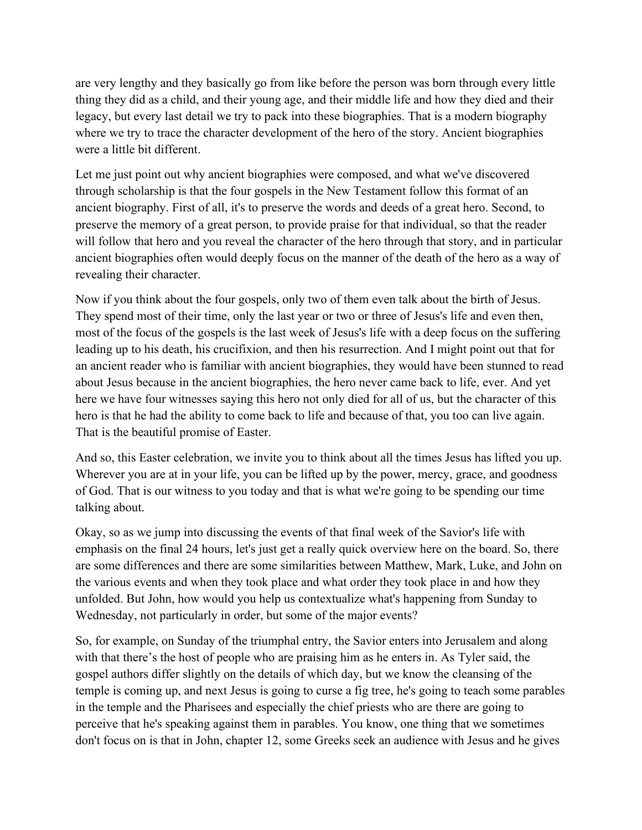are very lengthy and they basically go from like before the person was born through every little thing they did as a child, and their young age, and their middle life and how they died and their legacy, but every last detail we try to pack into these biographies. That is a modern biography where we try to trace the character development of the hero of the story. Ancient biographies were a little bit different.

Let me just point out why ancient biographies were composed, and what we've discovered through scholarship is that the four gospels in the New Testament follow this format of an ancient biography. First of all, it's to preserve the words and deeds of a great hero. Second, to preserve the memory of a great person, to provide praise for that individual, so that the reader will follow that hero and you reveal the character of the hero through that story, and in particular ancient biographies often would deeply focus on the manner of the death of the hero as a way of revealing their character.

Now if you think about the four gospels, only two of them even talk about the birth of Jesus. They spend most of their time, only the last year or two or three of Jesus's life and even then, most of the focus of the gospels is the last week of Jesus's life with a deep focus on the suffering leading up to his death, his crucifixion, and then his resurrection. And I might point out that for an ancient reader who is familiar with ancient biographies, they would have been stunned to read about Jesus because in the ancient biographies, the hero never came back to life, ever. And yet here we have four witnesses saying this hero not only died for all of us, but the character of this hero is that he had the ability to come back to life and because of that, you too can live again. That is the beautiful promise of Easter.

And so, this Easter celebration, we invite you to think about all the times Jesus has lifted you up. Wherever you are at in your life, you can be lifted up by the power, mercy, grace, and goodness of God. That is our witness to you today and that is what we're going to be spending our time talking about.

Okay, so as we jump into discussing the events of that final week of the Savior's life with emphasis on the final 24 hours, let's just get a really quick overview here on the board. So, there are some differences and there are some similarities between Matthew, Mark, Luke, and John on the various events and when they took place and what order they took place in and how they unfolded. But John, how would you help us contextualize what's happening from Sunday to Wednesday, not particularly in order, but some of the major events?

So, for example, on Sunday of the triumphal entry, the Savior enters into Jerusalem and along with that there's the host of people who are praising him as he enters in. As Tyler said, the gospel authors differ slightly on the details of which day, but we know the cleansing of the temple is coming up, and next Jesus is going to curse a fig tree, he's going to teach some parables in the temple and the Pharisees and especially the chief priests who are there are going to perceive that he's speaking against them in parables. You know, one thing that we sometimes don't focus on is that in John, chapter 12, some Greeks seek an audience with Jesus and he gives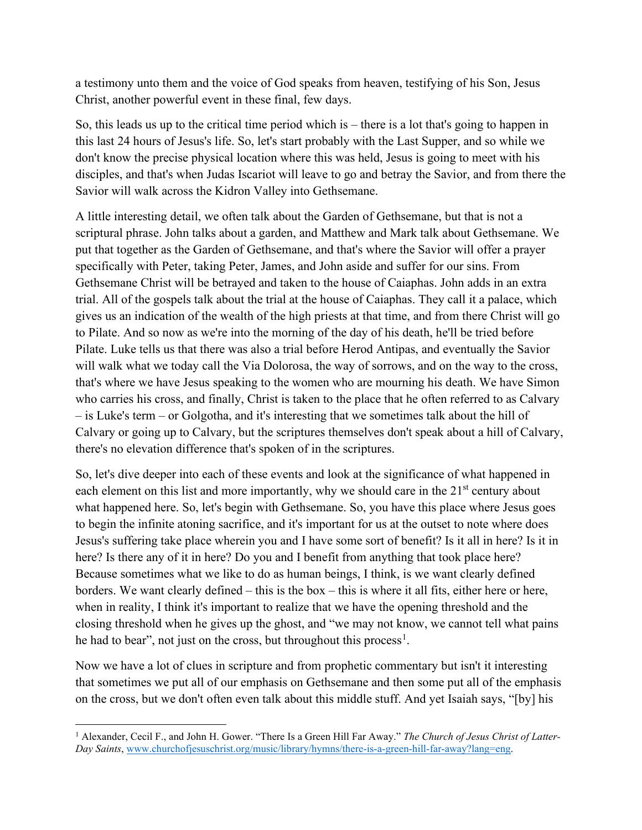a testimony unto them and the voice of God speaks from heaven, testifying of his Son, Jesus Christ, another powerful event in these final, few days.

So, this leads us up to the critical time period which is – there is a lot that's going to happen in this last 24 hours of Jesus's life. So, let's start probably with the Last Supper, and so while we don't know the precise physical location where this was held, Jesus is going to meet with his disciples, and that's when Judas Iscariot will leave to go and betray the Savior, and from there the Savior will walk across the Kidron Valley into Gethsemane.

A little interesting detail, we often talk about the Garden of Gethsemane, but that is not a scriptural phrase. John talks about a garden, and Matthew and Mark talk about Gethsemane. We put that together as the Garden of Gethsemane, and that's where the Savior will offer a prayer specifically with Peter, taking Peter, James, and John aside and suffer for our sins. From Gethsemane Christ will be betrayed and taken to the house of Caiaphas. John adds in an extra trial. All of the gospels talk about the trial at the house of Caiaphas. They call it a palace, which gives us an indication of the wealth of the high priests at that time, and from there Christ will go to Pilate. And so now as we're into the morning of the day of his death, he'll be tried before Pilate. Luke tells us that there was also a trial before Herod Antipas, and eventually the Savior will walk what we today call the Via Dolorosa, the way of sorrows, and on the way to the cross, that's where we have Jesus speaking to the women who are mourning his death. We have Simon who carries his cross, and finally, Christ is taken to the place that he often referred to as Calvary – is Luke's term – or Golgotha, and it's interesting that we sometimes talk about the hill of Calvary or going up to Calvary, but the scriptures themselves don't speak about a hill of Calvary, there's no elevation difference that's spoken of in the scriptures.

So, let's dive deeper into each of these events and look at the significance of what happened in each element on this list and more importantly, why we should care in the 21<sup>st</sup> century about what happened here. So, let's begin with Gethsemane. So, you have this place where Jesus goes to begin the infinite atoning sacrifice, and it's important for us at the outset to note where does Jesus's suffering take place wherein you and I have some sort of benefit? Is it all in here? Is it in here? Is there any of it in here? Do you and I benefit from anything that took place here? Because sometimes what we like to do as human beings, I think, is we want clearly defined borders. We want clearly defined – this is the box – this is where it all fits, either here or here, when in reality, I think it's important to realize that we have the opening threshold and the closing threshold when he gives up the ghost, and "we may not know, we cannot tell what pains he had to bear", not just on the cross, but throughout this process<sup>[1](#page-2-0)</sup>.

Now we have a lot of clues in scripture and from prophetic commentary but isn't it interesting that sometimes we put all of our emphasis on Gethsemane and then some put all of the emphasis on the cross, but we don't often even talk about this middle stuff. And yet Isaiah says, "[by] his

<span id="page-2-0"></span><sup>1</sup> Alexander, Cecil F., and John H. Gower. "There Is a Green Hill Far Away." *The Church of Jesus Christ of Latter-Day Saints*, www.churchofjesuschrist.org/music/library/hymns/there-is-a-green-hill-far-away?lang=eng.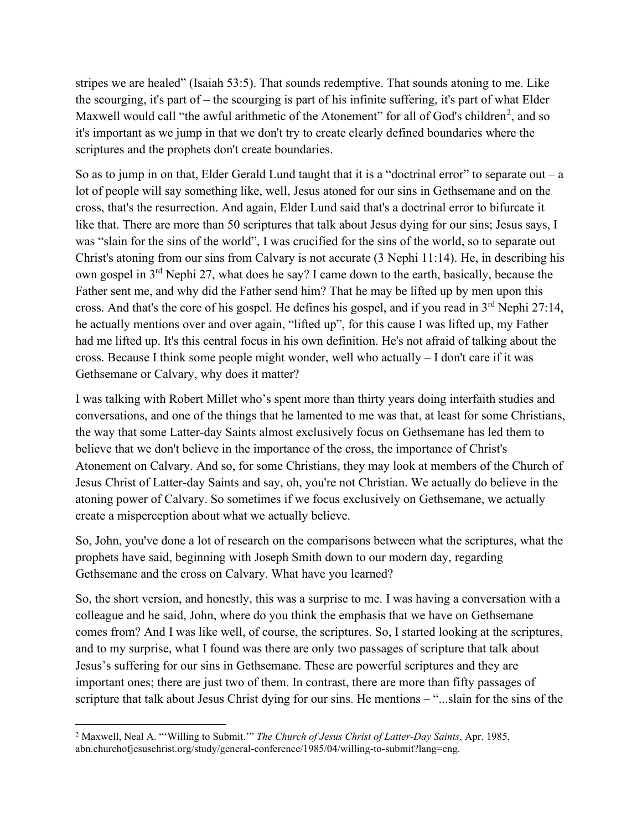stripes we are healed" (Isaiah 53:5). That sounds redemptive. That sounds atoning to me. Like the scourging, it's part of – the scourging is part of his infinite suffering, it's part of what Elder Maxwell would call "the awful arithmetic of the Atonement" for all of God's children<sup>[2](#page-3-0)</sup>, and so it's important as we jump in that we don't try to create clearly defined boundaries where the scriptures and the prophets don't create boundaries.

So as to jump in on that, Elder Gerald Lund taught that it is a "doctrinal error" to separate out  $-a$ lot of people will say something like, well, Jesus atoned for our sins in Gethsemane and on the cross, that's the resurrection. And again, Elder Lund said that's a doctrinal error to bifurcate it like that. There are more than 50 scriptures that talk about Jesus dying for our sins; Jesus says, I was "slain for the sins of the world", I was crucified for the sins of the world, so to separate out Christ's atoning from our sins from Calvary is not accurate (3 Nephi 11:14). He, in describing his own gospel in 3rd Nephi 27, what does he say? I came down to the earth, basically, because the Father sent me, and why did the Father send him? That he may be lifted up by men upon this cross. And that's the core of his gospel. He defines his gospel, and if you read in 3<sup>rd</sup> Nephi 27:14, he actually mentions over and over again, "lifted up", for this cause I was lifted up, my Father had me lifted up. It's this central focus in his own definition. He's not afraid of talking about the cross. Because I think some people might wonder, well who actually – I don't care if it was Gethsemane or Calvary, why does it matter?

I was talking with Robert Millet who's spent more than thirty years doing interfaith studies and conversations, and one of the things that he lamented to me was that, at least for some Christians, the way that some Latter-day Saints almost exclusively focus on Gethsemane has led them to believe that we don't believe in the importance of the cross, the importance of Christ's Atonement on Calvary. And so, for some Christians, they may look at members of the Church of Jesus Christ of Latter-day Saints and say, oh, you're not Christian. We actually do believe in the atoning power of Calvary. So sometimes if we focus exclusively on Gethsemane, we actually create a misperception about what we actually believe.

So, John, you've done a lot of research on the comparisons between what the scriptures, what the prophets have said, beginning with Joseph Smith down to our modern day, regarding Gethsemane and the cross on Calvary. What have you learned?

So, the short version, and honestly, this was a surprise to me. I was having a conversation with a colleague and he said, John, where do you think the emphasis that we have on Gethsemane comes from? And I was like well, of course, the scriptures. So, I started looking at the scriptures, and to my surprise, what I found was there are only two passages of scripture that talk about Jesus's suffering for our sins in Gethsemane. These are powerful scriptures and they are important ones; there are just two of them. In contrast, there are more than fifty passages of scripture that talk about Jesus Christ dying for our sins. He mentions – "...slain for the sins of the

<span id="page-3-0"></span><sup>2</sup> Maxwell, Neal A. "'Willing to Submit.'" *The Church of Jesus Christ of Latter-Day Saints*, Apr. 1985, abn.churchofjesuschrist.org/study/general-conference/1985/04/willing-to-submit?lang=eng.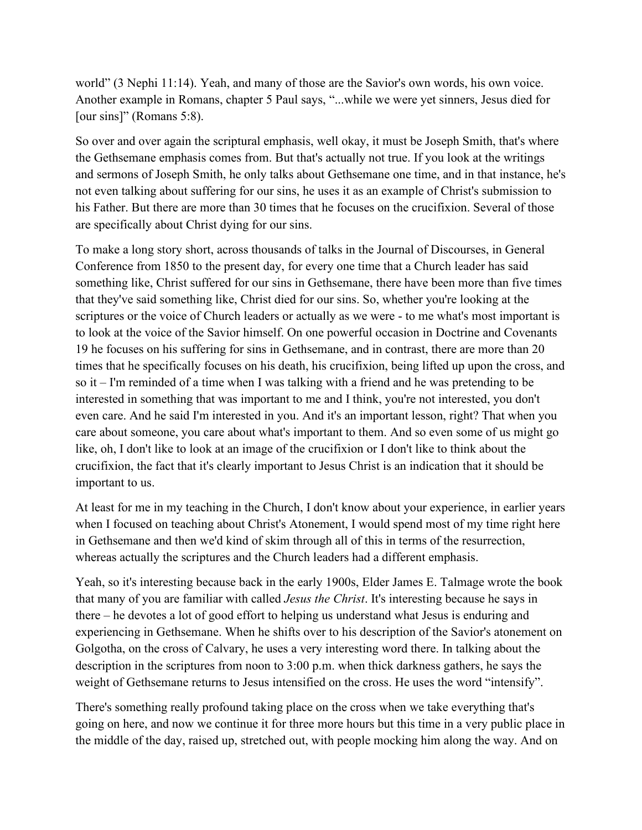world" (3 Nephi 11:14). Yeah, and many of those are the Savior's own words, his own voice. Another example in Romans, chapter 5 Paul says, "...while we were yet sinners, Jesus died for [our sins]" (Romans 5:8).

So over and over again the scriptural emphasis, well okay, it must be Joseph Smith, that's where the Gethsemane emphasis comes from. But that's actually not true. If you look at the writings and sermons of Joseph Smith, he only talks about Gethsemane one time, and in that instance, he's not even talking about suffering for our sins, he uses it as an example of Christ's submission to his Father. But there are more than 30 times that he focuses on the crucifixion. Several of those are specifically about Christ dying for our sins.

To make a long story short, across thousands of talks in the Journal of Discourses, in General Conference from 1850 to the present day, for every one time that a Church leader has said something like, Christ suffered for our sins in Gethsemane, there have been more than five times that they've said something like, Christ died for our sins. So, whether you're looking at the scriptures or the voice of Church leaders or actually as we were - to me what's most important is to look at the voice of the Savior himself. On one powerful occasion in Doctrine and Covenants 19 he focuses on his suffering for sins in Gethsemane, and in contrast, there are more than 20 times that he specifically focuses on his death, his crucifixion, being lifted up upon the cross, and so it – I'm reminded of a time when I was talking with a friend and he was pretending to be interested in something that was important to me and I think, you're not interested, you don't even care. And he said I'm interested in you. And it's an important lesson, right? That when you care about someone, you care about what's important to them. And so even some of us might go like, oh, I don't like to look at an image of the crucifixion or I don't like to think about the crucifixion, the fact that it's clearly important to Jesus Christ is an indication that it should be important to us.

At least for me in my teaching in the Church, I don't know about your experience, in earlier years when I focused on teaching about Christ's Atonement, I would spend most of my time right here in Gethsemane and then we'd kind of skim through all of this in terms of the resurrection, whereas actually the scriptures and the Church leaders had a different emphasis.

Yeah, so it's interesting because back in the early 1900s, Elder James E. Talmage wrote the book that many of you are familiar with called *Jesus the Christ*. It's interesting because he says in there – he devotes a lot of good effort to helping us understand what Jesus is enduring and experiencing in Gethsemane. When he shifts over to his description of the Savior's atonement on Golgotha, on the cross of Calvary, he uses a very interesting word there. In talking about the description in the scriptures from noon to 3:00 p.m. when thick darkness gathers, he says the weight of Gethsemane returns to Jesus intensified on the cross. He uses the word "intensify".

There's something really profound taking place on the cross when we take everything that's going on here, and now we continue it for three more hours but this time in a very public place in the middle of the day, raised up, stretched out, with people mocking him along the way. And on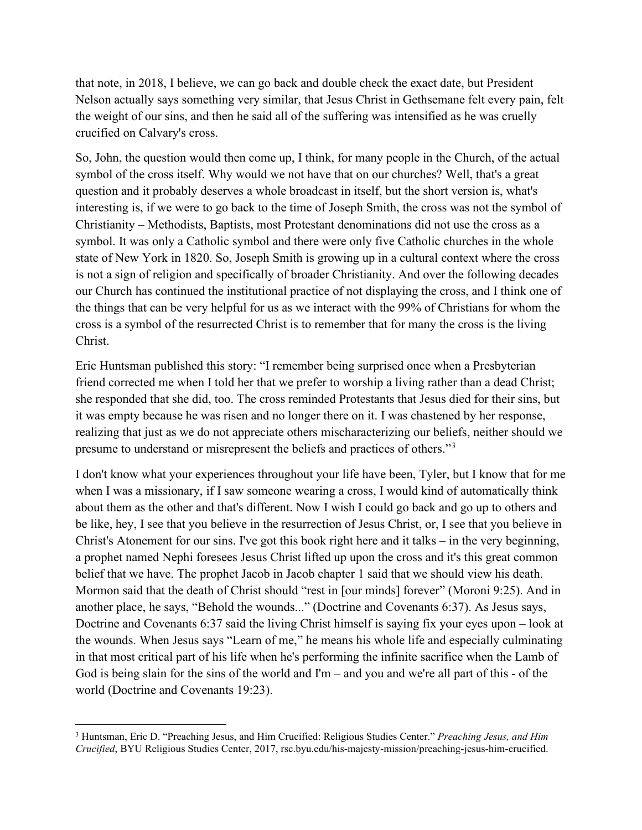that note, in 2018, I believe, we can go back and double check the exact date, but President Nelson actually says something very similar, that Jesus Christ in Gethsemane felt every pain, felt the weight of our sins, and then he said all of the suffering was intensified as he was cruelly crucified on Calvary's cross.

So, John, the question would then come up, I think, for many people in the Church, of the actual symbol of the cross itself. Why would we not have that on our churches? Well, that's a great question and it probably deserves a whole broadcast in itself, but the short version is, what's interesting is, if we were to go back to the time of Joseph Smith, the cross was not the symbol of Christianity – Methodists, Baptists, most Protestant denominations did not use the cross as a symbol. It was only a Catholic symbol and there were only five Catholic churches in the whole state of New York in 1820. So, Joseph Smith is growing up in a cultural context where the cross is not a sign of religion and specifically of broader Christianity. And over the following decades our Church has continued the institutional practice of not displaying the cross, and I think one of the things that can be very helpful for us as we interact with the 99% of Christians for whom the cross is a symbol of the resurrected Christ is to remember that for many the cross is the living Christ.

Eric Huntsman published this story: "I remember being surprised once when a Presbyterian friend corrected me when I told her that we prefer to worship a living rather than a dead Christ; she responded that she did, too. The cross reminded Protestants that Jesus died for their sins, but it was empty because he was risen and no longer there on it. I was chastened by her response, realizing that just as we do not appreciate others mischaracterizing our beliefs, neither should we presume to understand or misrepresent the beliefs and practices of others."[3](#page-5-0)

I don't know what your experiences throughout your life have been, Tyler, but I know that for me when I was a missionary, if I saw someone wearing a cross, I would kind of automatically think about them as the other and that's different. Now I wish I could go back and go up to others and be like, hey, I see that you believe in the resurrection of Jesus Christ, or, I see that you believe in Christ's Atonement for our sins. I've got this book right here and it talks – in the very beginning, a prophet named Nephi foresees Jesus Christ lifted up upon the cross and it's this great common belief that we have. The prophet Jacob in Jacob chapter 1 said that we should view his death. Mormon said that the death of Christ should "rest in [our minds] forever" (Moroni 9:25). And in another place, he says, "Behold the wounds..." (Doctrine and Covenants 6:37). As Jesus says, Doctrine and Covenants 6:37 said the living Christ himself is saying fix your eyes upon – look at the wounds. When Jesus says "Learn of me," he means his whole life and especially culminating in that most critical part of his life when he's performing the infinite sacrifice when the Lamb of God is being slain for the sins of the world and I'm – and you and we're all part of this - of the world (Doctrine and Covenants 19:23).

<span id="page-5-0"></span><sup>3</sup> Huntsman, Eric D. "Preaching Jesus, and Him Crucified: Religious Studies Center." *Preaching Jesus, and Him Crucified*, BYU Religious Studies Center, 2017, rsc.byu.edu/his-majesty-mission/preaching-jesus-him-crucified.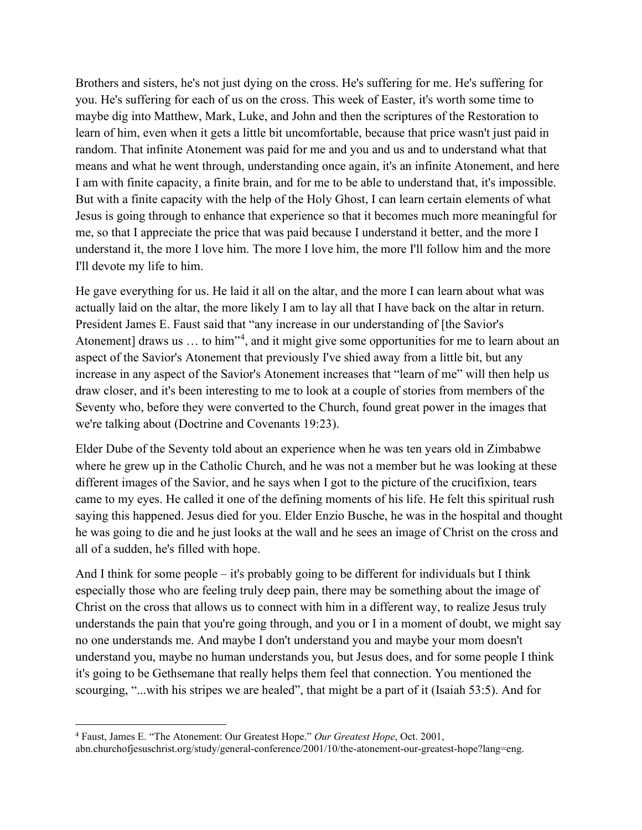Brothers and sisters, he's not just dying on the cross. He's suffering for me. He's suffering for you. He's suffering for each of us on the cross. This week of Easter, it's worth some time to maybe dig into Matthew, Mark, Luke, and John and then the scriptures of the Restoration to learn of him, even when it gets a little bit uncomfortable, because that price wasn't just paid in random. That infinite Atonement was paid for me and you and us and to understand what that means and what he went through, understanding once again, it's an infinite Atonement, and here I am with finite capacity, a finite brain, and for me to be able to understand that, it's impossible. But with a finite capacity with the help of the Holy Ghost, I can learn certain elements of what Jesus is going through to enhance that experience so that it becomes much more meaningful for me, so that I appreciate the price that was paid because I understand it better, and the more I understand it, the more I love him. The more I love him, the more I'll follow him and the more I'll devote my life to him.

He gave everything for us. He laid it all on the altar, and the more I can learn about what was actually laid on the altar, the more likely I am to lay all that I have back on the altar in return. President James E. Faust said that "any increase in our understanding of [the Savior's Atonement] draws us ... to him"<sup>[4](#page-6-0)</sup>, and it might give some opportunities for me to learn about an aspect of the Savior's Atonement that previously I've shied away from a little bit, but any increase in any aspect of the Savior's Atonement increases that "learn of me" will then help us draw closer, and it's been interesting to me to look at a couple of stories from members of the Seventy who, before they were converted to the Church, found great power in the images that we're talking about (Doctrine and Covenants 19:23).

Elder Dube of the Seventy told about an experience when he was ten years old in Zimbabwe where he grew up in the Catholic Church, and he was not a member but he was looking at these different images of the Savior, and he says when I got to the picture of the crucifixion, tears came to my eyes. He called it one of the defining moments of his life. He felt this spiritual rush saying this happened. Jesus died for you. Elder Enzio Busche, he was in the hospital and thought he was going to die and he just looks at the wall and he sees an image of Christ on the cross and all of a sudden, he's filled with hope.

And I think for some people – it's probably going to be different for individuals but I think especially those who are feeling truly deep pain, there may be something about the image of Christ on the cross that allows us to connect with him in a different way, to realize Jesus truly understands the pain that you're going through, and you or  $I$  in a moment of doubt, we might say no one understands me. And maybe I don't understand you and maybe your mom doesn't understand you, maybe no human understands you, but Jesus does, and for some people I think it's going to be Gethsemane that really helps them feel that connection. You mentioned the scourging, "...with his stripes we are healed", that might be a part of it (Isaiah 53:5). And for

<span id="page-6-0"></span><sup>4</sup> Faust, James E. "The Atonement: Our Greatest Hope." *Our Greatest Hope*, Oct. 2001, abn.churchofjesuschrist.org/study/general-conference/2001/10/the-atonement-our-greatest-hope?lang=eng.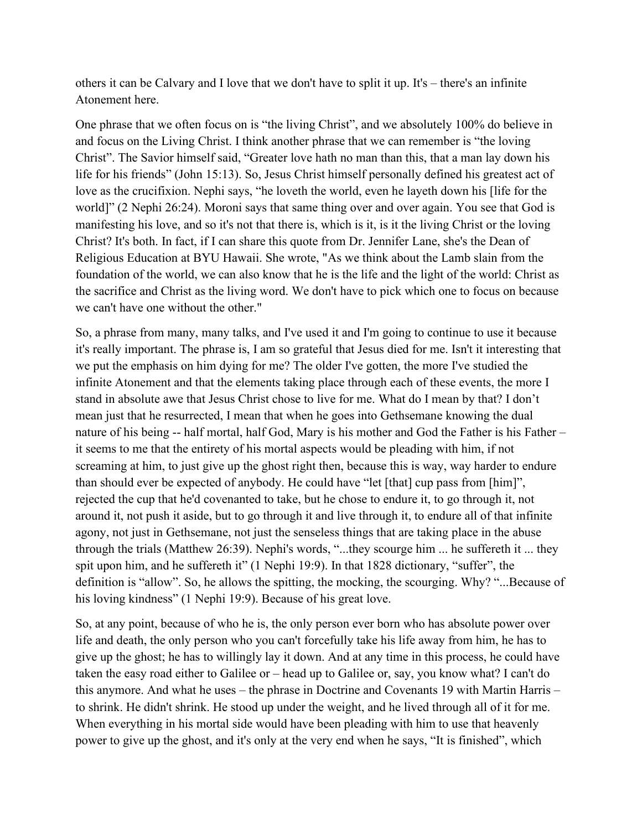others it can be Calvary and I love that we don't have to split it up. It's – there's an infinite Atonement here.

One phrase that we often focus on is "the living Christ", and we absolutely 100% do believe in and focus on the Living Christ. I think another phrase that we can remember is "the loving Christ". The Savior himself said, "Greater love hath no man than this, that a man lay down his life for his friends" (John 15:13). So, Jesus Christ himself personally defined his greatest act of love as the crucifixion. Nephi says, "he loveth the world, even he layeth down his [life for the world]" (2 Nephi 26:24). Moroni says that same thing over and over again. You see that God is manifesting his love, and so it's not that there is, which is it, is it the living Christ or the loving Christ? It's both. In fact, if I can share this quote from Dr. Jennifer Lane, she's the Dean of Religious Education at BYU Hawaii. She wrote, "As we think about the Lamb slain from the foundation of the world, we can also know that he is the life and the light of the world: Christ as the sacrifice and Christ as the living word. We don't have to pick which one to focus on because we can't have one without the other."

So, a phrase from many, many talks, and I've used it and I'm going to continue to use it because it's really important. The phrase is, I am so grateful that Jesus died for me. Isn't it interesting that we put the emphasis on him dying for me? The older I've gotten, the more I've studied the infinite Atonement and that the elements taking place through each of these events, the more I stand in absolute awe that Jesus Christ chose to live for me. What do I mean by that? I don't mean just that he resurrected, I mean that when he goes into Gethsemane knowing the dual nature of his being -- half mortal, half God, Mary is his mother and God the Father is his Father – it seems to me that the entirety of his mortal aspects would be pleading with him, if not screaming at him, to just give up the ghost right then, because this is way, way harder to endure than should ever be expected of anybody. He could have "let [that] cup pass from [him]", rejected the cup that he'd covenanted to take, but he chose to endure it, to go through it, not around it, not push it aside, but to go through it and live through it, to endure all of that infinite agony, not just in Gethsemane, not just the senseless things that are taking place in the abuse through the trials (Matthew 26:39). Nephi's words, "...they scourge him ... he suffereth it ... they spit upon him, and he suffereth it" (1 Nephi 19:9). In that 1828 dictionary, "suffer", the definition is "allow". So, he allows the spitting, the mocking, the scourging. Why? "...Because of his loving kindness" (1 Nephi 19:9). Because of his great love.

So, at any point, because of who he is, the only person ever born who has absolute power over life and death, the only person who you can't forcefully take his life away from him, he has to give up the ghost; he has to willingly lay it down. And at any time in this process, he could have taken the easy road either to Galilee or – head up to Galilee or, say, you know what? I can't do this anymore. And what he uses – the phrase in Doctrine and Covenants 19 with Martin Harris – to shrink. He didn't shrink. He stood up under the weight, and he lived through all of it for me. When everything in his mortal side would have been pleading with him to use that heavenly power to give up the ghost, and it's only at the very end when he says, "It is finished", which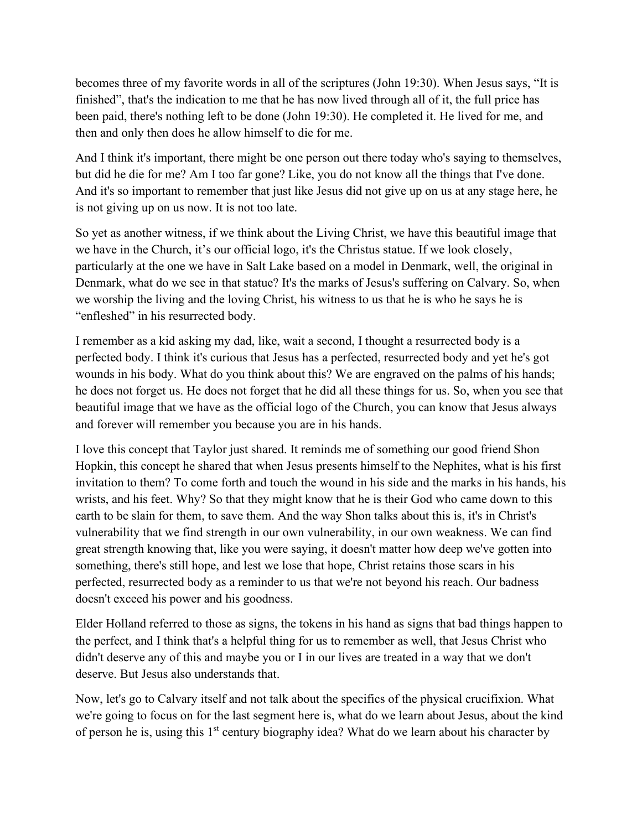becomes three of my favorite words in all of the scriptures (John 19:30). When Jesus says, "It is finished", that's the indication to me that he has now lived through all of it, the full price has been paid, there's nothing left to be done (John 19:30). He completed it. He lived for me, and then and only then does he allow himself to die for me.

And I think it's important, there might be one person out there today who's saying to themselves, but did he die for me? Am I too far gone? Like, you do not know all the things that I've done. And it's so important to remember that just like Jesus did not give up on us at any stage here, he is not giving up on us now. It is not too late.

So yet as another witness, if we think about the Living Christ, we have this beautiful image that we have in the Church, it's our official logo, it's the Christus statue. If we look closely, particularly at the one we have in Salt Lake based on a model in Denmark, well, the original in Denmark, what do we see in that statue? It's the marks of Jesus's suffering on Calvary. So, when we worship the living and the loving Christ, his witness to us that he is who he says he is "enfleshed" in his resurrected body.

I remember as a kid asking my dad, like, wait a second, I thought a resurrected body is a perfected body. I think it's curious that Jesus has a perfected, resurrected body and yet he's got wounds in his body. What do you think about this? We are engraved on the palms of his hands; he does not forget us. He does not forget that he did all these things for us. So, when you see that beautiful image that we have as the official logo of the Church, you can know that Jesus always and forever will remember you because you are in his hands.

I love this concept that Taylor just shared. It reminds me of something our good friend Shon Hopkin, this concept he shared that when Jesus presents himself to the Nephites, what is his first invitation to them? To come forth and touch the wound in his side and the marks in his hands, his wrists, and his feet. Why? So that they might know that he is their God who came down to this earth to be slain for them, to save them. And the way Shon talks about this is, it's in Christ's vulnerability that we find strength in our own vulnerability, in our own weakness. We can find great strength knowing that, like you were saying, it doesn't matter how deep we've gotten into something, there's still hope, and lest we lose that hope, Christ retains those scars in his perfected, resurrected body as a reminder to us that we're not beyond his reach. Our badness doesn't exceed his power and his goodness.

Elder Holland referred to those as signs, the tokens in his hand as signs that bad things happen to the perfect, and I think that's a helpful thing for us to remember as well, that Jesus Christ who didn't deserve any of this and maybe you or I in our lives are treated in a way that we don't deserve. But Jesus also understands that.

Now, let's go to Calvary itself and not talk about the specifics of the physical crucifixion. What we're going to focus on for the last segment here is, what do we learn about Jesus, about the kind of person he is, using this 1<sup>st</sup> century biography idea? What do we learn about his character by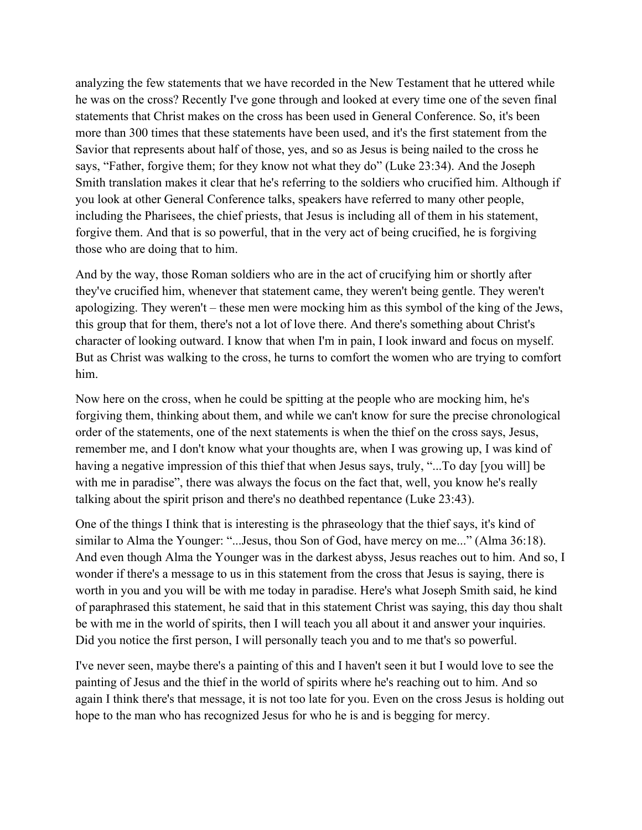analyzing the few statements that we have recorded in the New Testament that he uttered while he was on the cross? Recently I've gone through and looked at every time one of the seven final statements that Christ makes on the cross has been used in General Conference. So, it's been more than 300 times that these statements have been used, and it's the first statement from the Savior that represents about half of those, yes, and so as Jesus is being nailed to the cross he says, "Father, forgive them; for they know not what they do" (Luke 23:34). And the Joseph Smith translation makes it clear that he's referring to the soldiers who crucified him. Although if you look at other General Conference talks, speakers have referred to many other people, including the Pharisees, the chief priests, that Jesus is including all of them in his statement, forgive them. And that is so powerful, that in the very act of being crucified, he is forgiving those who are doing that to him.

And by the way, those Roman soldiers who are in the act of crucifying him or shortly after they've crucified him, whenever that statement came, they weren't being gentle. They weren't apologizing. They weren't – these men were mocking him as this symbol of the king of the Jews, this group that for them, there's not a lot of love there. And there's something about Christ's character of looking outward. I know that when I'm in pain, I look inward and focus on myself. But as Christ was walking to the cross, he turns to comfort the women who are trying to comfort him.

Now here on the cross, when he could be spitting at the people who are mocking him, he's forgiving them, thinking about them, and while we can't know for sure the precise chronological order of the statements, one of the next statements is when the thief on the cross says, Jesus, remember me, and I don't know what your thoughts are, when I was growing up, I was kind of having a negative impression of this thief that when Jesus says, truly, "...To day [you will] be with me in paradise", there was always the focus on the fact that, well, you know he's really talking about the spirit prison and there's no deathbed repentance (Luke 23:43).

One of the things I think that is interesting is the phraseology that the thief says, it's kind of similar to Alma the Younger: "...Jesus, thou Son of God, have mercy on me..." (Alma 36:18). And even though Alma the Younger was in the darkest abyss, Jesus reaches out to him. And so, I wonder if there's a message to us in this statement from the cross that Jesus is saying, there is worth in you and you will be with me today in paradise. Here's what Joseph Smith said, he kind of paraphrased this statement, he said that in this statement Christ was saying, this day thou shalt be with me in the world of spirits, then I will teach you all about it and answer your inquiries. Did you notice the first person, I will personally teach you and to me that's so powerful.

I've never seen, maybe there's a painting of this and I haven't seen it but I would love to see the painting of Jesus and the thief in the world of spirits where he's reaching out to him. And so again I think there's that message, it is not too late for you. Even on the cross Jesus is holding out hope to the man who has recognized Jesus for who he is and is begging for mercy.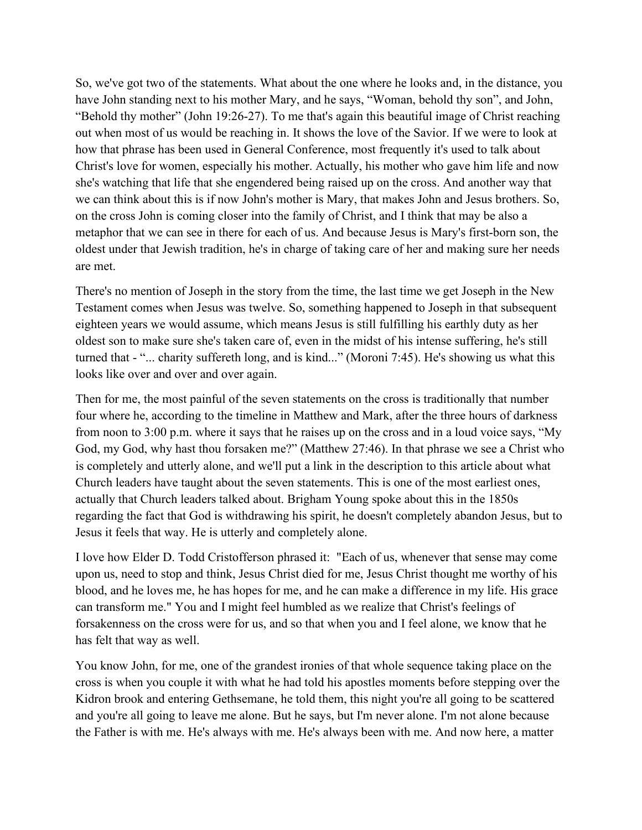So, we've got two of the statements. What about the one where he looks and, in the distance, you have John standing next to his mother Mary, and he says, "Woman, behold thy son", and John, "Behold thy mother" (John 19:26-27). To me that's again this beautiful image of Christ reaching out when most of us would be reaching in. It shows the love of the Savior. If we were to look at how that phrase has been used in General Conference, most frequently it's used to talk about Christ's love for women, especially his mother. Actually, his mother who gave him life and now she's watching that life that she engendered being raised up on the cross. And another way that we can think about this is if now John's mother is Mary, that makes John and Jesus brothers. So, on the cross John is coming closer into the family of Christ, and I think that may be also a metaphor that we can see in there for each of us. And because Jesus is Mary's first-born son, the oldest under that Jewish tradition, he's in charge of taking care of her and making sure her needs are met.

There's no mention of Joseph in the story from the time, the last time we get Joseph in the New Testament comes when Jesus was twelve. So, something happened to Joseph in that subsequent eighteen years we would assume, which means Jesus is still fulfilling his earthly duty as her oldest son to make sure she's taken care of, even in the midst of his intense suffering, he's still turned that - "... charity suffereth long, and is kind..." (Moroni 7:45). He's showing us what this looks like over and over and over again.

Then for me, the most painful of the seven statements on the cross is traditionally that number four where he, according to the timeline in Matthew and Mark, after the three hours of darkness from noon to 3:00 p.m. where it says that he raises up on the cross and in a loud voice says, "My God, my God, why hast thou forsaken me?" (Matthew 27:46). In that phrase we see a Christ who is completely and utterly alone, and we'll put a link in the description to this article about what Church leaders have taught about the seven statements. This is one of the most earliest ones, actually that Church leaders talked about. Brigham Young spoke about this in the 1850s regarding the fact that God is withdrawing his spirit, he doesn't completely abandon Jesus, but to Jesus it feels that way. He is utterly and completely alone.

I love how Elder D. Todd Cristofferson phrased it: "Each of us, whenever that sense may come upon us, need to stop and think, Jesus Christ died for me, Jesus Christ thought me worthy of his blood, and he loves me, he has hopes for me, and he can make a difference in my life. His grace can transform me." You and I might feel humbled as we realize that Christ's feelings of forsakenness on the cross were for us, and so that when you and I feel alone, we know that he has felt that way as well.

You know John, for me, one of the grandest ironies of that whole sequence taking place on the cross is when you couple it with what he had told his apostles moments before stepping over the Kidron brook and entering Gethsemane, he told them, this night you're all going to be scattered and you're all going to leave me alone. But he says, but I'm never alone. I'm not alone because the Father is with me. He's always with me. He's always been with me. And now here, a matter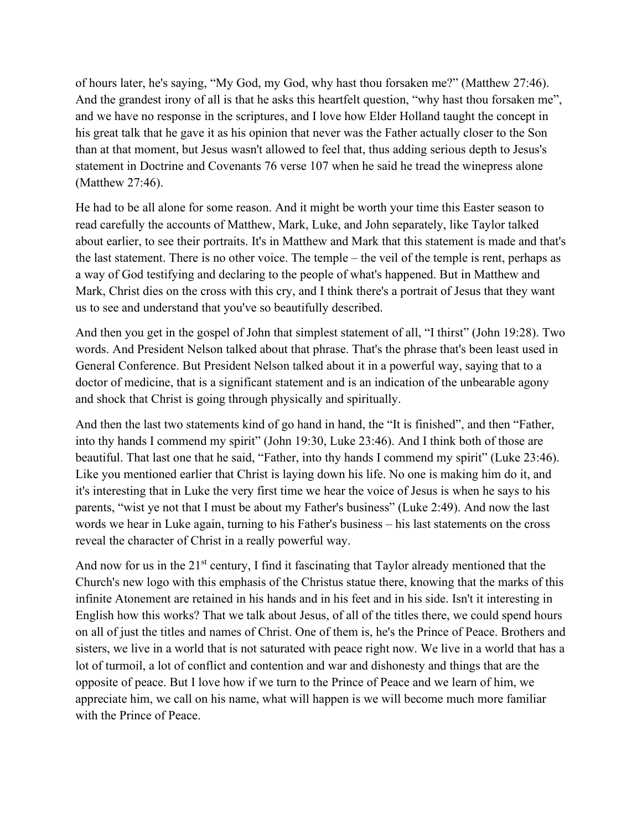of hours later, he's saying, "My God, my God, why hast thou forsaken me?" (Matthew 27:46). And the grandest irony of all is that he asks this heartfelt question, "why hast thou forsaken me", and we have no response in the scriptures, and I love how Elder Holland taught the concept in his great talk that he gave it as his opinion that never was the Father actually closer to the Son than at that moment, but Jesus wasn't allowed to feel that, thus adding serious depth to Jesus's statement in Doctrine and Covenants 76 verse 107 when he said he tread the winepress alone (Matthew 27:46).

He had to be all alone for some reason. And it might be worth your time this Easter season to read carefully the accounts of Matthew, Mark, Luke, and John separately, like Taylor talked about earlier, to see their portraits. It's in Matthew and Mark that this statement is made and that's the last statement. There is no other voice. The temple – the veil of the temple is rent, perhaps as a way of God testifying and declaring to the people of what's happened. But in Matthew and Mark, Christ dies on the cross with this cry, and I think there's a portrait of Jesus that they want us to see and understand that you've so beautifully described.

And then you get in the gospel of John that simplest statement of all, "I thirst" (John 19:28). Two words. And President Nelson talked about that phrase. That's the phrase that's been least used in General Conference. But President Nelson talked about it in a powerful way, saying that to a doctor of medicine, that is a significant statement and is an indication of the unbearable agony and shock that Christ is going through physically and spiritually.

And then the last two statements kind of go hand in hand, the "It is finished", and then "Father, into thy hands I commend my spirit" (John 19:30, Luke 23:46). And I think both of those are beautiful. That last one that he said, "Father, into thy hands I commend my spirit" (Luke 23:46). Like you mentioned earlier that Christ is laying down his life. No one is making him do it, and it's interesting that in Luke the very first time we hear the voice of Jesus is when he says to his parents, "wist ye not that I must be about my Father's business" (Luke 2:49). And now the last words we hear in Luke again, turning to his Father's business – his last statements on the cross reveal the character of Christ in a really powerful way.

And now for us in the  $21^{st}$  century, I find it fascinating that Taylor already mentioned that the Church's new logo with this emphasis of the Christus statue there, knowing that the marks of this infinite Atonement are retained in his hands and in his feet and in his side. Isn't it interesting in English how this works? That we talk about Jesus, of all of the titles there, we could spend hours on all of just the titles and names of Christ. One of them is, he's the Prince of Peace. Brothers and sisters, we live in a world that is not saturated with peace right now. We live in a world that has a lot of turmoil, a lot of conflict and contention and war and dishonesty and things that are the opposite of peace. But I love how if we turn to the Prince of Peace and we learn of him, we appreciate him, we call on his name, what will happen is we will become much more familiar with the Prince of Peace.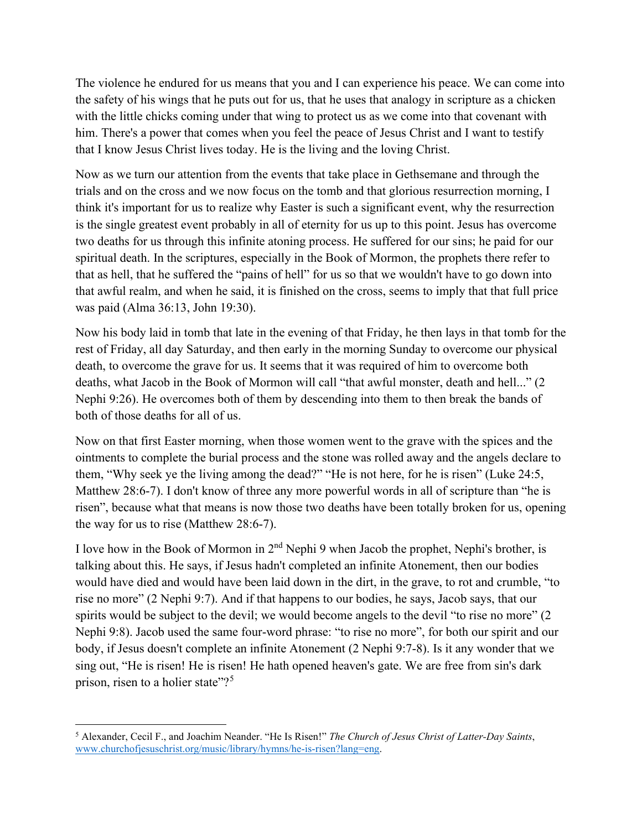The violence he endured for us means that you and I can experience his peace. We can come into the safety of his wings that he puts out for us, that he uses that analogy in scripture as a chicken with the little chicks coming under that wing to protect us as we come into that covenant with him. There's a power that comes when you feel the peace of Jesus Christ and I want to testify that I know Jesus Christ lives today. He is the living and the loving Christ.

Now as we turn our attention from the events that take place in Gethsemane and through the trials and on the cross and we now focus on the tomb and that glorious resurrection morning, I think it's important for us to realize why Easter is such a significant event, why the resurrection is the single greatest event probably in all of eternity for us up to this point. Jesus has overcome two deaths for us through this infinite atoning process. He suffered for our sins; he paid for our spiritual death. In the scriptures, especially in the Book of Mormon, the prophets there refer to that as hell, that he suffered the "pains of hell" for us so that we wouldn't have to go down into that awful realm, and when he said, it is finished on the cross, seems to imply that that full price was paid (Alma 36:13, John 19:30).

Now his body laid in tomb that late in the evening of that Friday, he then lays in that tomb for the rest of Friday, all day Saturday, and then early in the morning Sunday to overcome our physical death, to overcome the grave for us. It seems that it was required of him to overcome both deaths, what Jacob in the Book of Mormon will call "that awful monster, death and hell..." (2 Nephi 9:26). He overcomes both of them by descending into them to then break the bands of both of those deaths for all of us.

Now on that first Easter morning, when those women went to the grave with the spices and the ointments to complete the burial process and the stone was rolled away and the angels declare to them, "Why seek ye the living among the dead?" "He is not here, for he is risen" (Luke 24:5, Matthew 28:6-7). I don't know of three any more powerful words in all of scripture than "he is risen", because what that means is now those two deaths have been totally broken for us, opening the way for us to rise (Matthew 28:6-7).

I love how in the Book of Mormon in  $2<sup>nd</sup>$  Nephi 9 when Jacob the prophet, Nephi's brother, is talking about this. He says, if Jesus hadn't completed an infinite Atonement, then our bodies would have died and would have been laid down in the dirt, in the grave, to rot and crumble, "to rise no more" (2 Nephi 9:7). And if that happens to our bodies, he says, Jacob says, that our spirits would be subject to the devil; we would become angels to the devil "to rise no more" (2) Nephi 9:8). Jacob used the same four-word phrase: "to rise no more", for both our spirit and our body, if Jesus doesn't complete an infinite Atonement (2 Nephi 9:7-8). Is it any wonder that we sing out, "He is risen! He is risen! He hath opened heaven's gate. We are free from sin's dark prison, risen to a holier state"?<sup>[5](#page-12-0)</sup>

<span id="page-12-0"></span><sup>5</sup> Alexander, Cecil F., and Joachim Neander. "He Is Risen!" *The Church of Jesus Christ of Latter-Day Saints*, www.churchofjesuschrist.org/music/library/hymns/he-is-risen?lang=eng.